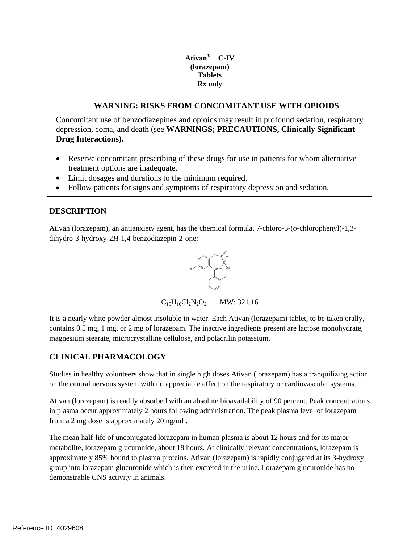### **Tablets Ativan® C-IV (lorazepam) Rx only**

## **WARNING: RISKS FROM CONCOMITANT USE WITH OPIOIDS**

Concomitant use of benzodiazepines and opioids may result in profound sedation, respiratory depression, coma, and death (see **WARNINGS; PRECAUTIONS, Clinically Significant Drug Interactions).** 

- Reserve concomitant prescribing of these drugs for use in patients for whom alternative treatment options are inadequate.
- Limit dosages and durations to the minimum required.
- Follow patients for signs and symptoms of respiratory depression and sedation.

# **DESCRIPTION**

Ativan (lorazepam), an antianxiety agent, has the chemical formula, 7-chloro-5-(*o*-chlorophenyl)-1,3 dihydro-3-hydroxy-2*H*-1,4-benzodiazepin-2-one:



 $C_{15}H_{10}Cl_2N_2O_2$  MW: 321.16

It is a nearly white powder almost insoluble in water. Each Ativan (lorazepam) tablet, to be taken orally, contains 0.5 mg, 1 mg, or 2 mg of lorazepam. The inactive ingredients present are lactose monohydrate, magnesium stearate, microcrystalline cellulose, and polacrilin potassium.

# **CLINICAL PHARMACOLOGY**

Studies in healthy volunteers show that in single high doses Ativan (lorazepam) has a tranquilizing action on the central nervous system with no appreciable effect on the respiratory or cardiovascular systems.

 from a 2 mg dose is approximately 20 ng/mL. Ativan (lorazepam) is readily absorbed with an absolute bioavailability of 90 percent. Peak concentrations in plasma occur approximately 2 hours following administration. The peak plasma level of lorazepam

The mean half-life of unconjugated lorazepam in human plasma is about 12 hours and for its major metabolite, lorazepam glucuronide, about 18 hours. At clinically relevant concentrations, lorazepam is approximately 85% bound to plasma proteins. Ativan (lorazepam) is rapidly conjugated at its 3-hydroxy group into lorazepam glucuronide which is then excreted in the urine. Lorazepam glucuronide has no demonstrable CNS activity in animals.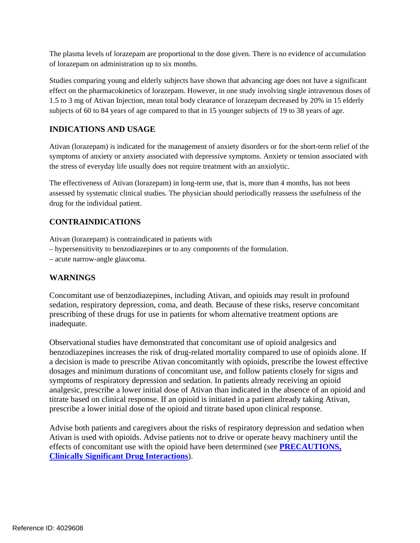The plasma levels of lorazepam are proportional to the dose given. There is no evidence of accumulation of lorazepam on administration up to six months.

Studies comparing young and elderly subjects have shown that advancing age does not have a significant effect on the pharmacokinetics of lorazepam. However, in one study involving single intravenous doses of 1.5 to 3 mg of Ativan Injection, mean total body clearance of lorazepam decreased by 20% in 15 elderly subjects of 60 to 84 years of age compared to that in 15 younger subjects of 19 to 38 years of age.

# **INDICATIONS AND USAGE**

Ativan (lorazepam) is indicated for the management of anxiety disorders or for the short-term relief of the symptoms of anxiety or anxiety associated with depressive symptoms. Anxiety or tension associated with the stress of everyday life usually does not require treatment with an anxiolytic.

The effectiveness of Ativan (lorazepam) in long-term use, that is, more than 4 months, has not been assessed by systematic clinical studies. The physician should periodically reassess the usefulness of the drug for the individual patient.

## **CONTRAINDICATIONS**

Ativan (lorazepam) is contraindicated in patients with

- hypersensitivity to benzodiazepines or to any components of the formulation.
- acute narrow-angle glaucoma.

# **WARNINGS**

Concomitant use of benzodiazepines, including Ativan, and opioids may result in profound sedation, respiratory depression, coma, and death. Because of these risks, reserve concomitant prescribing of these drugs for use in patients for whom alternative treatment options are inadequate.

Observational studies have demonstrated that concomitant use of opioid analgesics and benzodiazepines increases the risk of drug-related mortality compared to use of opioids alone. If a decision is made to prescribe Ativan concomitantly with opioids, prescribe the lowest effective dosages and minimum durations of concomitant use, and follow patients closely for signs and symptoms of respiratory depression and sedation. In patients already receiving an opioid analgesic, prescribe a lower initial dose of Ativan than indicated in the absence of an opioid and titrate based on clinical response. If an opioid is initiated in a patient already taking Ativan, prescribe a lower initial dose of the opioid and titrate based upon clinical response.

Advise both patients and caregivers about the risks of respiratory depression and sedation when Ativan is used with opioids. Advise patients not to drive or operate heavy machinery until the effects of concomitant use with the opioid have been determined (see **PRECAUTIONS, Clinically Significant Drug Interactions**).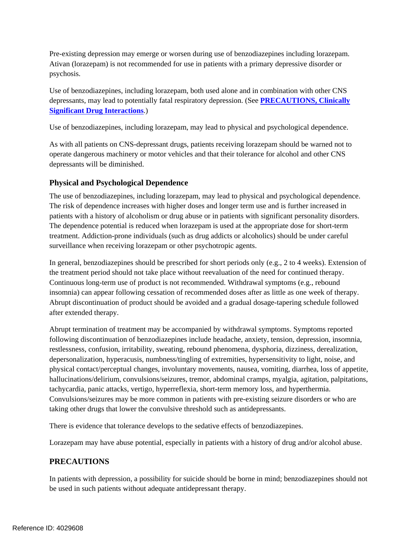Pre-existing depression may emerge or worsen during use of benzodiazepines including lorazepam. Ativan (lorazepam) is not recommended for use in patients with a primary depressive disorder or psychosis.

Use of benzodiazepines, including lorazepam, both used alone and in combination with other CNS depressants, may lead to potentially fatal respiratory depression. (See **PRECAUTIONS, Clinically Significant Drug Interactions**.)

Use of benzodiazepines, including lorazepam, may lead to physical and psychological dependence.

As with all patients on CNS-depressant drugs, patients receiving lorazepam should be warned not to operate dangerous machinery or motor vehicles and that their tolerance for alcohol and other CNS depressants will be diminished.

## **Physical and Psychological Dependence**

The use of benzodiazepines, including lorazepam, may lead to physical and psychological dependence. The risk of dependence increases with higher doses and longer term use and is further increased in patients with a history of alcoholism or drug abuse or in patients with significant personality disorders. The dependence potential is reduced when lorazepam is used at the appropriate dose for short-term treatment. Addiction-prone individuals (such as drug addicts or alcoholics) should be under careful surveillance when receiving lorazepam or other psychotropic agents.

In general, benzodiazepines should be prescribed for short periods only (e.g., 2 to 4 weeks). Extension of the treatment period should not take place without reevaluation of the need for continued therapy. Continuous long-term use of product is not recommended. Withdrawal symptoms (e.g., rebound insomnia) can appear following cessation of recommended doses after as little as one week of therapy. Abrupt discontinuation of product should be avoided and a gradual dosage-tapering schedule followed after extended therapy.

 tachycardia, panic attacks, vertigo, hyperreflexia, short-term memory loss, and hyperthermia. Abrupt termination of treatment may be accompanied by withdrawal symptoms. Symptoms reported following discontinuation of benzodiazepines include headache, anxiety, tension, depression, insomnia, restlessness, confusion, irritability, sweating, rebound phenomena, dysphoria, dizziness, derealization, depersonalization, hyperacusis, numbness/tingling of extremities, hypersensitivity to light, noise, and physical contact/perceptual changes, involuntary movements, nausea, vomiting, diarrhea, loss of appetite, hallucinations/delirium, convulsions/seizures, tremor, abdominal cramps, myalgia, agitation, palpitations, Convulsions/seizures may be more common in patients with pre-existing seizure disorders or who are taking other drugs that lower the convulsive threshold such as antidepressants.

There is evidence that tolerance develops to the sedative effects of benzodiazepines.

Lorazepam may have abuse potential, especially in patients with a history of drug and/or alcohol abuse.

# **PRECAUTIONS**

In patients with depression, a possibility for suicide should be borne in mind; benzodiazepines should not be used in such patients without adequate antidepressant therapy.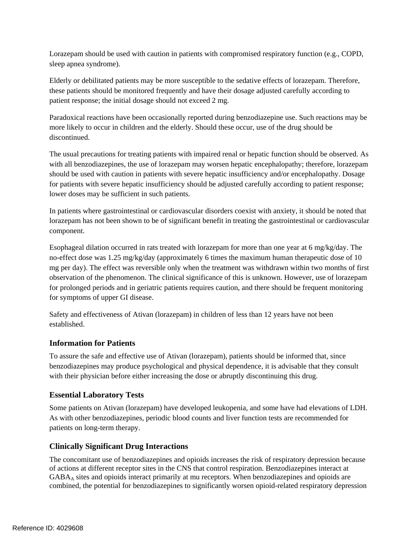Lorazepam should be used with caution in patients with compromised respiratory function (e.g., COPD, sleep apnea syndrome).

Elderly or debilitated patients may be more susceptible to the sedative effects of lorazepam. Therefore, these patients should be monitored frequently and have their dosage adjusted carefully according to patient response; the initial dosage should not exceed 2 mg.

Paradoxical reactions have been occasionally reported during benzodiazepine use. Such reactions may be more likely to occur in children and the elderly. Should these occur, use of the drug should be discontinued.

The usual precautions for treating patients with impaired renal or hepatic function should be observed. As with all benzodiazepines, the use of lorazepam may worsen hepatic encephalopathy; therefore, lorazepam should be used with caution in patients with severe hepatic insufficiency and/or encephalopathy. Dosage for patients with severe hepatic insufficiency should be adjusted carefully according to patient response; lower doses may be sufficient in such patients.

In patients where gastrointestinal or cardiovascular disorders coexist with anxiety, it should be noted that lorazepam has not been shown to be of significant benefit in treating the gastrointestinal or cardiovascular component.

Esophageal dilation occurred in rats treated with lorazepam for more than one year at 6 mg/kg/day. The no-effect dose was 1.25 mg/kg/day (approximately 6 times the maximum human therapeutic dose of 10 mg per day). The effect was reversible only when the treatment was withdrawn within two months of first observation of the phenomenon. The clinical significance of this is unknown. However, use of lorazepam for prolonged periods and in geriatric patients requires caution, and there should be frequent monitoring for symptoms of upper GI disease.

Safety and effectiveness of Ativan (lorazepam) in children of less than 12 years have not been established.

# **Information for Patients**

To assure the safe and effective use of Ativan (lorazepam), patients should be informed that, since benzodiazepines may produce psychological and physical dependence, it is advisable that they consult with their physician before either increasing the dose or abruptly discontinuing this drug.

## **Essential Laboratory Tests**

Some patients on Ativan (lorazepam) have developed leukopenia, and some have had elevations of LDH. As with other benzodiazepines, periodic blood counts and liver function tests are recommended for patients on long-term therapy.

# **Clinically Significant Drug Interactions**

The concomitant use of benzodiazepines and opioids increases the risk of respiratory depression because of actions at different receptor sites in the CNS that control respiration. Benzodiazepines interact at GABAA sites and opioids interact primarily at mu receptors. When benzodiazepines and opioids are combined, the potential for benzodiazepines to significantly worsen opioid-related respiratory depression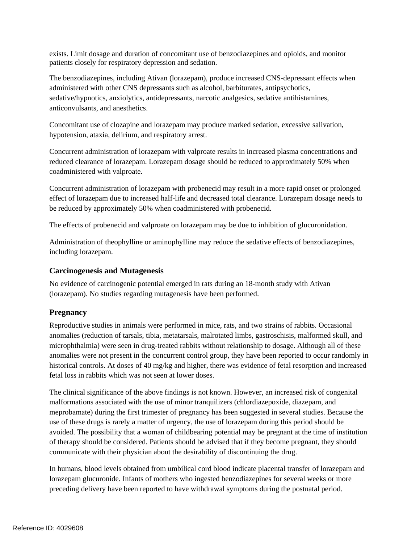exists. Limit dosage and duration of concomitant use of benzodiazepines and opioids, and monitor patients closely for respiratory depression and sedation.

The benzodiazepines, including Ativan (lorazepam), produce increased CNS-depressant effects when administered with other CNS depressants such as alcohol, barbiturates, antipsychotics, sedative/hypnotics, anxiolytics, antidepressants, narcotic analgesics, sedative antihistamines, anticonvulsants, and anesthetics.

 Concomitant use of clozapine and lorazepam may produce marked sedation, excessive salivation, hypotension, ataxia, delirium, and respiratory arrest.

Concurrent administration of lorazepam with valproate results in increased plasma concentrations and reduced clearance of lorazepam. Lorazepam dosage should be reduced to approximately 50% when coadministered with valproate.

Concurrent administration of lorazepam with probenecid may result in a more rapid onset or prolonged effect of lorazepam due to increased half-life and decreased total clearance. Lorazepam dosage needs to be reduced by approximately 50% when coadministered with probenecid.

The effects of probenecid and valproate on lorazepam may be due to inhibition of glucuronidation.

Administration of theophylline or aminophylline may reduce the sedative effects of benzodiazepines, including lorazepam.

## **Carcinogenesis and Mutagenesis**

No evidence of carcinogenic potential emerged in rats during an 18-month study with Ativan (lorazepam). No studies regarding mutagenesis have been performed.

# **Pregnancy**

Reproductive studies in animals were performed in mice, rats, and two strains of rabbits. Occasional anomalies (reduction of tarsals, tibia, metatarsals, malrotated limbs, gastroschisis, malformed skull, and microphthalmia) were seen in drug-treated rabbits without relationship to dosage. Although all of these anomalies were not present in the concurrent control group, they have been reported to occur randomly in historical controls. At doses of 40 mg/kg and higher, there was evidence of fetal resorption and increased fetal loss in rabbits which was not seen at lower doses.

The clinical significance of the above findings is not known. However, an increased risk of congenital malformations associated with the use of minor tranquilizers (chlordiazepoxide, diazepam, and meprobamate) during the first trimester of pregnancy has been suggested in several studies. Because the use of these drugs is rarely a matter of urgency, the use of lorazepam during this period should be avoided. The possibility that a woman of childbearing potential may be pregnant at the time of institution of therapy should be considered. Patients should be advised that if they become pregnant, they should communicate with their physician about the desirability of discontinuing the drug.

In humans, blood levels obtained from umbilical cord blood indicate placental transfer of lorazepam and lorazepam glucuronide. Infants of mothers who ingested benzodiazepines for several weeks or more preceding delivery have been reported to have withdrawal symptoms during the postnatal period.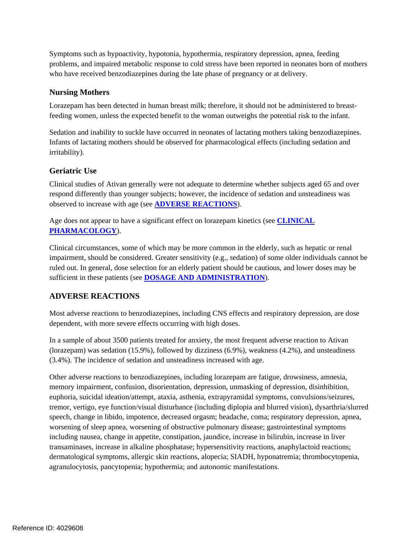Symptoms such as hypoactivity, hypotonia, hypothermia, respiratory depression, apnea, feeding problems, and impaired metabolic response to cold stress have been reported in neonates born of mothers who have received benzodiazepines during the late phase of pregnancy or at delivery.

## **Nursing Mothers**

Lorazepam has been detected in human breast milk; therefore, it should not be administered to breastfeeding women, unless the expected benefit to the woman outweighs the potential risk to the infant.

Sedation and inability to suckle have occurred in neonates of lactating mothers taking benzodiazepines. Infants of lactating mothers should be observed for pharmacological effects (including sedation and irritability).

## **Geriatric Use**

Clinical studies of Ativan generally were not adequate to determine whether subjects aged 65 and over respond differently than younger subjects; however, the incidence of sedation and unsteadiness was observed to increase with age (see **ADVERSE REACTIONS**).

Age does not appear to have a significant effect on lorazepam kinetics (see **CLINICAL PHARMACOLOGY**).

Clinical circumstances, some of which may be more common in the elderly, such as hepatic or renal impairment, should be considered. Greater sensitivity (e.g., sedation) of some older individuals cannot be ruled out. In general, dose selection for an elderly patient should be cautious, and lower doses may be sufficient in these patients (see **DOSAGE AND ADMINISTRATION**).

# **ADVERSE REACTIONS**

Most adverse reactions to benzodiazepines, including CNS effects and respiratory depression, are dose dependent, with more severe effects occurring with high doses.

In a sample of about 3500 patients treated for anxiety, the most frequent adverse reaction to Ativan (lorazepam) was sedation (15.9%), followed by dizziness (6.9%), weakness (4.2%), and unsteadiness (3.4%). The incidence of sedation and unsteadiness increased with age.

Other adverse reactions to benzodiazepines, including lorazepam are fatigue, drowsiness, amnesia, memory impairment, confusion, disorientation, depression, unmasking of depression, disinhibition, euphoria, suicidal ideation/attempt, ataxia, asthenia, extrapyramidal symptoms, convulsions/seizures, tremor, vertigo, eye function/visual disturbance (including diplopia and blurred vision), dysarthria/slurred speech, change in libido, impotence, decreased orgasm; headache, coma; respiratory depression, apnea, worsening of sleep apnea, worsening of obstructive pulmonary disease; gastrointestinal symptoms including nausea, change in appetite, constipation, jaundice, increase in bilirubin, increase in liver transaminases, increase in alkaline phosphatase; hypersensitivity reactions, anaphylactoid reactions; dermatological symptoms, allergic skin reactions, alopecia; SIADH, hyponatremia; thrombocytopenia, agranulocytosis, pancytopenia; hypothermia; and autonomic manifestations.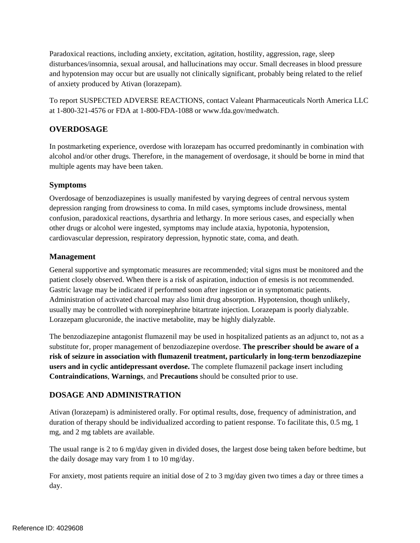Paradoxical reactions, including anxiety, excitation, agitation, hostility, aggression, rage, sleep disturbances/insomnia, sexual arousal, and hallucinations may occur. Small decreases in blood pressure and hypotension may occur but are usually not clinically significant, probably being related to the relief of anxiety produced by Ativan (lorazepam).

To report SUSPECTED ADVERSE REACTIONS, contact Valeant Pharmaceuticals North America LLC at 1-800-321-4576 or FDA at 1-800-FDA-1088 or www.fda.gov/medwatch.

# **OVERDOSAGE**

In postmarketing experience, overdose with lorazepam has occurred predominantly in combination with alcohol and/or other drugs. Therefore, in the management of overdosage, it should be borne in mind that multiple agents may have been taken.

## **Symptoms**

Overdosage of benzodiazepines is usually manifested by varying degrees of central nervous system depression ranging from drowsiness to coma. In mild cases, symptoms include drowsiness, mental confusion, paradoxical reactions, dysarthria and lethargy. In more serious cases, and especially when other drugs or alcohol were ingested, symptoms may include ataxia, hypotonia, hypotension, cardiovascular depression, respiratory depression, hypnotic state, coma, and death.

#### **Management**

General supportive and symptomatic measures are recommended; vital signs must be monitored and the patient closely observed. When there is a risk of aspiration, induction of emesis is not recommended. Gastric lavage may be indicated if performed soon after ingestion or in symptomatic patients. Administration of activated charcoal may also limit drug absorption. Hypotension, though unlikely, usually may be controlled with norepinephrine bitartrate injection. Lorazepam is poorly dialyzable. Lorazepam glucuronide, the inactive metabolite, may be highly dialyzable.

The benzodiazepine antagonist flumazenil may be used in hospitalized patients as an adjunct to, not as a substitute for, proper management of benzodiazepine overdose. **The prescriber should be aware of a risk of seizure in association with flumazenil treatment, particularly in long-term benzodiazepine users and in cyclic antidepressant overdose.** The complete flumazenil package insert including **Contraindications**, **Warnings**, and **Precautions** should be consulted prior to use.

## **DOSAGE AND ADMINISTRATION**

Ativan (lorazepam) is administered orally. For optimal results, dose, frequency of administration, and duration of therapy should be individualized according to patient response. To facilitate this, 0.5 mg, 1 mg, and 2 mg tablets are available.

The usual range is 2 to 6 mg/day given in divided doses, the largest dose being taken before bedtime, but the daily dosage may vary from 1 to 10 mg/day.

For anxiety, most patients require an initial dose of 2 to 3 mg/day given two times a day or three times a day.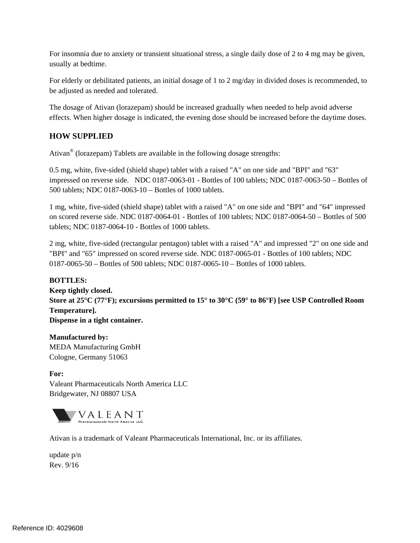For insomnia due to anxiety or transient situational stress, a single daily dose of 2 to 4 mg may be given, usually at bedtime.

For elderly or debilitated patients, an initial dosage of 1 to 2 mg/day in divided doses is recommended, to be adjusted as needed and tolerated.

The dosage of Ativan (lorazepam) should be increased gradually when needed to help avoid adverse effects. When higher dosage is indicated, the evening dose should be increased before the daytime doses.

# **HOW SUPPLIED**

Ativan® (lorazepam) Tablets are available in the following dosage strengths:

0.5 mg, white, five-sided (shield shape) tablet with a raised "A" on one side and "BPI" and "63" impressed on reverse side. NDC 0187-0063-01 - Bottles of 100 tablets; NDC 0187-0063-50 – Bottles of 500 tablets; NDC 0187-0063-10 – Bottles of 1000 tablets.

1 mg, white, five-sided (shield shape) tablet with a raised "A" on one side and "BPI" and "64" impressed on scored reverse side. NDC 0187-0064-01 - Bottles of 100 tablets; NDC 0187-0064-50 – Bottles of 500 tablets; NDC 0187-0064-10 - Bottles of 1000 tablets.

2 mg, white, five-sided (rectangular pentagon) tablet with a raised "A" and impressed "2" on one side and "BPI" and "65" impressed on scored reverse side. NDC 0187-0065-01 - Bottles of 100 tablets; NDC 0187-0065-50 – Bottles of 500 tablets; NDC 0187-0065-10 – Bottles of 1000 tablets.

## **BOTTLES:**

**Keep tightly closed. Store at 25°C (77°F); excursions permitted to 15° to 30°C (59° to 86°F) [see USP Controlled Room Temperature]. Dispense in a tight container.**

**Manufactured by:** MEDA Manufacturing GmbH Cologne, Germany 51063

**For:**  Valeant Pharmaceuticals North America LLC Bridgewater, NJ 08807 USA



Ativan is a trademark of Valeant Pharmaceuticals International, Inc. or its affiliates.

update p/n Rev. 9/16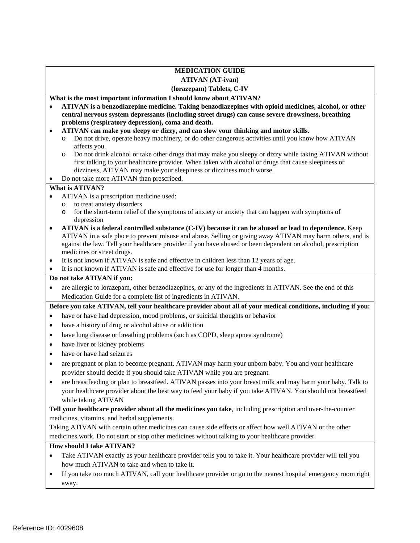#### **MEDICATION GUIDE ATIVAN (AT-ivan) (lorazepam) Tablets, C-IV**

## **What is the most important information I should know about ATIVAN?**

- **problems (respiratory depression), coma and death. ATIVAN is a benzodiazepine medicine. Taking benzodiazepines with opioid medicines, alcohol, or other central nervous system depressants (including street drugs) can cause severe drowsiness, breathing**
- **ATIVAN can make you sleepy or dizzy, and can slow your thinking and motor skills.** 
	- Do not drive, operate heavy machinery, or do other dangerous activities until you know how ATIVAN affects you.
	- o Do not drink alcohol or take other drugs that may make you sleepy or dizzy while taking ATIVAN without dizziness, ATIVAN may make your sleepiness or dizziness much worse. first talking to your healthcare provider. When taken with alcohol or drugs that cause sleepiness or
- Do not take more ATIVAN than prescribed.

#### **What is ATIVAN?**

- ATIVAN is a prescription medicine used:
	- o to treat anxiety disorders
	- o for the short-term relief of the symptoms of anxiety or anxiety that can happen with symptoms of depression
- against the law. Tell your healthcare provider if you have abused or been dependent on alcohol, prescription **ATIVAN is a federal controlled substance (C-IV) because it can be abused or lead to dependence.** Keep ATIVAN in a safe place to prevent misuse and abuse. Selling or giving away ATIVAN may harm others, and is medicines or street drugs.
- It is not known if ATIVAN is safe and effective in children less than 12 years of age.
- It is not known if ATIVAN is safe and effective for use for longer than 4 months.

#### **Do not take ATIVAN if you:**

 are allergic to lorazepam, other benzodiazepines, or any of the ingredients in ATIVAN. See the end of this Medication Guide for a complete list of ingredients in ATIVAN.

 **Before you take ATIVAN, tell your healthcare provider about all of your medical conditions, including if you:** 

- have or have had depression, mood problems, or suicidal thoughts or behavior
- have a history of drug or alcohol abuse or addiction
- have lung disease or breathing problems (such as COPD, sleep apnea syndrome)
- have liver or kidney problems
- have or have had seizures
- are pregnant or plan to become pregnant. ATIVAN may harm your unborn baby. You and your healthcare provider should decide if you should take ATIVAN while you are pregnant.
- are breastfeeding or plan to breastfeed. ATIVAN passes into your breast milk and may harm your baby. Talk to your healthcare provider about the best way to feed your baby if you take ATIVAN. You should not breastfeed while taking ATIVAN

**Tell your healthcare provider about all the medicines you take**, including prescription and over-the-counter medicines, vitamins, and herbal supplements.

 Taking ATIVAN with certain other medicines can cause side effects or affect how well ATIVAN or the other medicines work. Do not start or stop other medicines without talking to your healthcare provider.

## **How should I take ATIVAN?**

- Take ATIVAN exactly as your healthcare provider tells you to take it. Your healthcare provider will tell you how much ATIVAN to take and when to take it.
- If you take too much ATIVAN, call your healthcare provider or go to the nearest hospital emergency room right away.